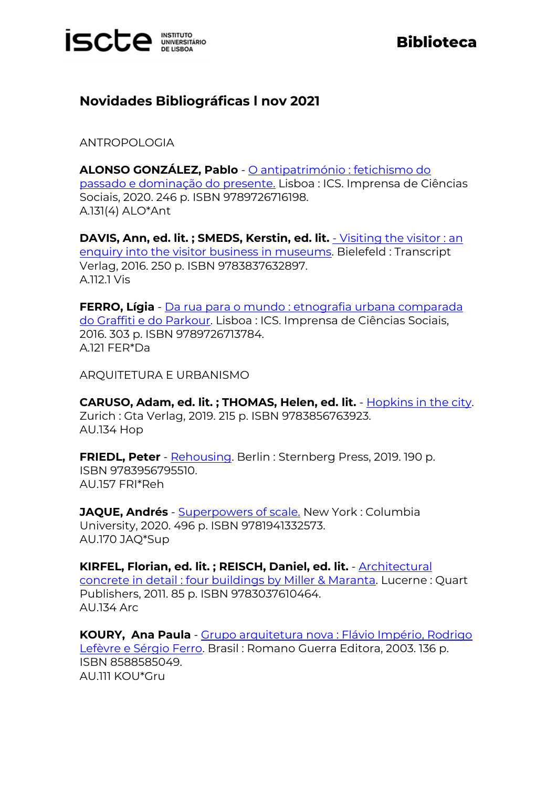

## **Biblioteca**

## **Novidades Bibliográficas l nov 2021**

ANTROPOLOGIA

**ALONSO GONZÁLEZ, Pablo** - [O antipatrimónio : fetichismo do](https://catalogo.biblioteca.iscte-iul.pt/cgi-bin/koha/opac-detail.pl?biblionumber=112378)  [passado e dominação do presente.](https://catalogo.biblioteca.iscte-iul.pt/cgi-bin/koha/opac-detail.pl?biblionumber=112378) Lisboa : ICS. Imprensa de Ciências Sociais, 2020. 246 p. ISBN 9789726716198. A.131(4) ALO\*Ant

**DAVIS, Ann, ed. lit. ; SMEDS, Kerstin, ed. lit.** - [Visiting the visitor : an](https://catalogo.biblioteca.iscte-iul.pt/cgi-bin/koha/opac-detail.pl?biblionumber=112611)  [enquiry into the visitor business in museums.](https://catalogo.biblioteca.iscte-iul.pt/cgi-bin/koha/opac-detail.pl?biblionumber=112611) Bielefeld : Transcript Verlag, 2016. 250 p. ISBN 9783837632897. A.112.1 Vis

**FERRO, Lígia** - [Da rua para o mundo : etnografia urbana comparada](https://catalogo.biblioteca.iscte-iul.pt/cgi-bin/koha/opac-detail.pl?biblionumber=112377)  [do Graffiti e do Parkour.](https://catalogo.biblioteca.iscte-iul.pt/cgi-bin/koha/opac-detail.pl?biblionumber=112377) Lisboa : ICS. Imprensa de Ciências Sociais, 2016. 303 p. ISBN 9789726713784. A.121 FER\*Da

ARQUITETURA E URBANISMO

**CARUSO, Adam, ed. lit. ; THOMAS, Helen, ed. lit.** - [Hopkins in the city.](https://catalogo.biblioteca.iscte-iul.pt/cgi-bin/koha/opac-detail.pl?biblionumber=112240) Zurich : Gta Verlag, 2019. 215 p. ISBN 9783856763923. AU.134 Hop

**FRIEDL, Peter** - [Rehousing.](https://catalogo.biblioteca.iscte-iul.pt/cgi-bin/koha/opac-detail.pl?biblionumber=112231) Berlin : Sternberg Press, 2019. 190 p. ISBN 9783956795510. AU.157 FRI\*Reh

**JAQUE, Andrés** - **Superpowers of scale**. New York: Columbia University, 2020. 496 p. ISBN 9781941332573. AU.170 JAQ\*Sup

**KIRFEL, Florian, ed. lit. ; REISCH, Daniel, ed. lit.** - [Architectural](https://catalogo.biblioteca.iscte-iul.pt/cgi-bin/koha/opac-detail.pl?biblionumber=112145)  [concrete in detail : four buildings by Miller & Maranta.](https://catalogo.biblioteca.iscte-iul.pt/cgi-bin/koha/opac-detail.pl?biblionumber=112145) Lucerne : Quart Publishers, 2011. 85 p. ISBN 9783037610464. AU.134 Arc

**KOURY, Ana Paula** - [Grupo arquitetura nova : Flávio Império, Rodrigo](https://catalogo.biblioteca.iscte-iul.pt/cgi-bin/koha/opac-detail.pl?biblionumber=112324)  [Lefèvre e Sérgio Ferro.](https://catalogo.biblioteca.iscte-iul.pt/cgi-bin/koha/opac-detail.pl?biblionumber=112324) Brasil : Romano Guerra Editora, 2003. 136 p. ISBN 8588585049. AU.111 KOU\*Gru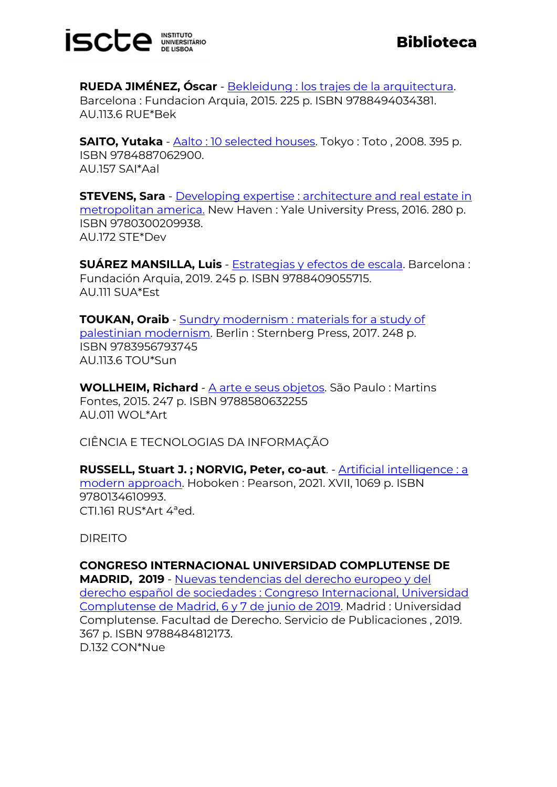

**RUEDA JIMÉNEZ, Óscar** - [Bekleidung : los trajes de la arquitectura.](https://catalogo.biblioteca.iscte-iul.pt/cgi-bin/koha/opac-detail.pl?biblionumber=112191) Barcelona : Fundacion Arquia, 2015. 225 p. ISBN 9788494034381. AU.113.6 RUE\*Bek

**SAITO, Yutaka** - [Aalto : 10 selected houses.](https://catalogo.biblioteca.iscte-iul.pt/cgi-bin/koha/opac-detail.pl?biblionumber=112413) Tokyo : Toto , 2008. 395 p. ISBN 9784887062900. AU.157 SAI\*Aal

**STEVENS, Sara** - [Developing expertise : architecture and real estate in](https://catalogo.biblioteca.iscte-iul.pt/cgi-bin/koha/opac-detail.pl?biblionumber=112141)  [metropolitan america.](https://catalogo.biblioteca.iscte-iul.pt/cgi-bin/koha/opac-detail.pl?biblionumber=112141) New Haven : Yale University Press, 2016. 280 p. ISBN 9780300209938. AU.172 STE\*Dev

**SUÁREZ MANSILLA, Luis** - [Estrategias y efectos de escala.](https://catalogo.biblioteca.iscte-iul.pt/cgi-bin/koha/opac-detail.pl?biblionumber=112192) Barcelona : Fundación Arquia, 2019. 245 p. ISBN 9788409055715. AU.111 SUA\*Est

**TOUKAN, Oraib** - Sundry modernism : materials for a study of [palestinian modernism.](https://catalogo.biblioteca.iscte-iul.pt/cgi-bin/koha/opac-detail.pl?biblionumber=112232) Berlin : Sternberg Press, 2017. 248 p. ISBN 9783956793745 AU.113.6 TOU\*Sun

**WOLLHEIM, Richard** - [A arte e seus objetos.](https://catalogo.biblioteca.iscte-iul.pt/cgi-bin/koha/opac-detail.pl?biblionumber=112598) São Paulo : Martins Fontes, 2015. 247 p. ISBN 9788580632255 AU.011 WOL\*Art

CIÊNCIA E TECNOLOGIAS DA INFORMAÇÃO

**RUSSELL, Stuart J. ; NORVIG, Peter, co-aut**. - [Artificial intelligence : a](https://catalogo.biblioteca.iscte-iul.pt/cgi-bin/koha/opac-detail.pl?biblionumber=112185)  [modern approach.](https://catalogo.biblioteca.iscte-iul.pt/cgi-bin/koha/opac-detail.pl?biblionumber=112185) Hoboken : Pearson, 2021. XVII, 1069 p. ISBN 9780134610993. CTI.161 RUS\*Art 4ªed.

DIREITO

**CONGRESO INTERNACIONAL UNIVERSIDAD COMPLUTENSE DE MADRID, 2019** - [Nuevas tendencias del derecho europeo y del](https://catalogo.biblioteca.iscte-iul.pt/cgi-bin/koha/opac-detail.pl?biblionumber=112227)  [derecho español de sociedades : Congreso Internacional, Universidad](https://catalogo.biblioteca.iscte-iul.pt/cgi-bin/koha/opac-detail.pl?biblionumber=112227)  [Complutense de Madrid, 6 y 7 de junio de 2019.](https://catalogo.biblioteca.iscte-iul.pt/cgi-bin/koha/opac-detail.pl?biblionumber=112227) Madrid : Universidad Complutense. Facultad de Derecho. Servicio de Publicaciones , 2019. 367 p. ISBN 9788484812173. D.132 CON\*Nue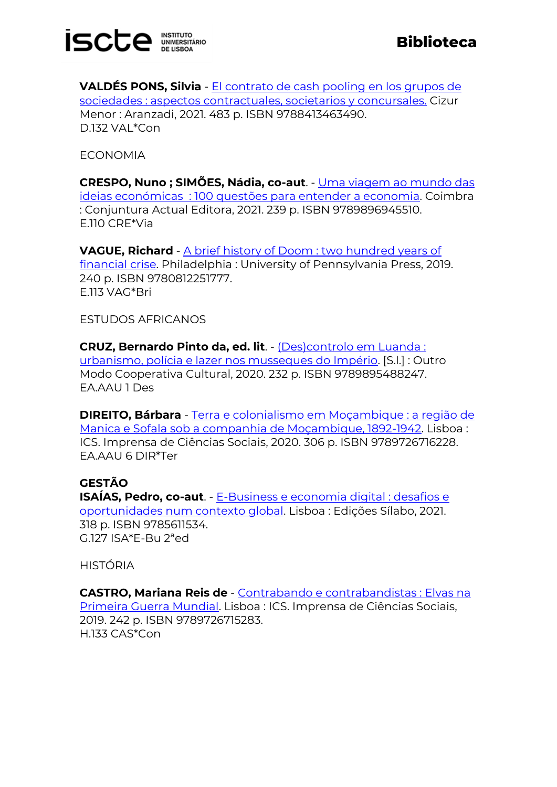

**VALDÉS PONS, Silvia** - [El contrato de cash pooling en los grupos de](https://catalogo.biblioteca.iscte-iul.pt/cgi-bin/koha/opac-detail.pl?biblionumber=112226)  [sociedades : aspectos contractuales, societarios y concursales.](https://catalogo.biblioteca.iscte-iul.pt/cgi-bin/koha/opac-detail.pl?biblionumber=112226) Cizur Menor : Aranzadi, 2021. 483 p. ISBN 9788413463490. D.132 VAL\*Con

ECONOMIA

**CRESPO, Nuno ; SIMÕES, Nádia, co-aut**. - [Uma viagem ao mundo](https://catalogo.biblioteca.iscte-iul.pt/cgi-bin/koha/opac-detail.pl?biblionumber=113213) das ideias económicas [: 100 questões para entender a economia.](https://catalogo.biblioteca.iscte-iul.pt/cgi-bin/koha/opac-detail.pl?biblionumber=113213) Coimbra : Conjuntura Actual Editora, 2021. 239 p. ISBN 9789896945510. E.110 CRE\*Via

**VAGUE, Richard** - [A brief history of Doom : two hundred years of](https://catalogo.biblioteca.iscte-iul.pt/cgi-bin/koha/opac-detail.pl?biblionumber=112121)  [financial crise.](https://catalogo.biblioteca.iscte-iul.pt/cgi-bin/koha/opac-detail.pl?biblionumber=112121) Philadelphia : University of Pennsylvania Press, 2019. 240 p. ISBN 9780812251777. E.113 VAG\*Bri

ESTUDOS AFRICANOS

**CRUZ, Bernardo Pinto da, ed. lit**. - [\(Des\)controlo em Luanda :](https://catalogo.biblioteca.iscte-iul.pt/cgi-bin/koha/opac-detail.pl?biblionumber=113019)  [urbanismo, polícia e lazer nos musseques do Império.](https://catalogo.biblioteca.iscte-iul.pt/cgi-bin/koha/opac-detail.pl?biblionumber=113019) [S.l.] : Outro Modo Cooperativa Cultural, 2020. 232 p. ISBN 9789895488247. EA.AAU 1 Des

**DIREITO, Bárbara** - [Terra e colonialismo em Moçambique : a região de](https://catalogo.biblioteca.iscte-iul.pt/cgi-bin/koha/opac-detail.pl?biblionumber=112367)  [Manica e Sofala sob a companhia de Moçambique, 1892-1942.](https://catalogo.biblioteca.iscte-iul.pt/cgi-bin/koha/opac-detail.pl?biblionumber=112367) Lisboa : ICS. Imprensa de Ciências Sociais, 2020. 306 p. ISBN 9789726716228. EA.AAU 6 DIR\*Ter

## **GESTÃO**

**ISAÍAS, Pedro, co-aut**. - [E-Business e economia digital : desafios e](https://catalogo.biblioteca.iscte-iul.pt/cgi-bin/koha/opac-detail.pl?biblionumber=112268)  [oportunidades num contexto global.](https://catalogo.biblioteca.iscte-iul.pt/cgi-bin/koha/opac-detail.pl?biblionumber=112268) Lisboa : Edições Sílabo, 2021. 318 p. ISBN 9785611534. G.127 ISA\*E-Bu 2ªed

HISTÓRIA

**CASTRO, Mariana Reis de** - [Contrabando e contrabandistas : Elvas na](https://catalogo.biblioteca.iscte-iul.pt/cgi-bin/koha/opac-detail.pl?biblionumber=112361)  [Primeira Guerra Mundial.](https://catalogo.biblioteca.iscte-iul.pt/cgi-bin/koha/opac-detail.pl?biblionumber=112361) Lisboa : ICS. Imprensa de Ciências Sociais, 2019. 242 p. ISBN 9789726715283. H.133 CAS\*Con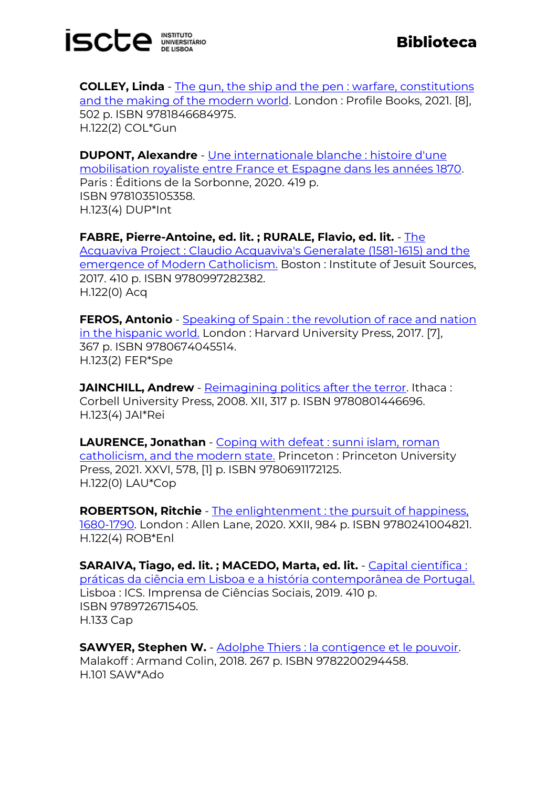

**COLLEY, Linda** - The gun, the ship and the pen : warfare, constitutions [and the making of the modern world.](https://catalogo.biblioteca.iscte-iul.pt/cgi-bin/koha/opac-detail.pl?biblionumber=112791) London: Profile Books, 2021. [8], 502 p. ISBN 9781846684975. H.122(2) COL\*Gun

**DUPONT, Alexandre** - [Une internationale blanche : histoire d'une](https://catalogo.biblioteca.iscte-iul.pt/cgi-bin/koha/opac-detail.pl?biblionumber=112733)  [mobilisation royaliste entre France et Espagne dans les années 1870.](https://catalogo.biblioteca.iscte-iul.pt/cgi-bin/koha/opac-detail.pl?biblionumber=112733) Paris : Éditions de la Sorbonne, 2020. 419 p. ISBN 9781035105358. H.123(4) DUP\*Int

**FABRE, Pierre-Antoine, ed. lit. ; RURALE, Flavio, ed. lit.** - [The](https://catalogo.biblioteca.iscte-iul.pt/cgi-bin/koha/opac-detail.pl?biblionumber=112228)  [Acquaviva Project : Claudio Acquaviva's Generalate \(1581-1615\) and the](https://catalogo.biblioteca.iscte-iul.pt/cgi-bin/koha/opac-detail.pl?biblionumber=112228)  [emergence of Modern Catholicism.](https://catalogo.biblioteca.iscte-iul.pt/cgi-bin/koha/opac-detail.pl?biblionumber=112228) Boston : Institute of Jesuit Sources, 2017. 410 p. ISBN 9780997282382. H.122(0) Acq

**FEROS, Antonio** - Speaking of Spain : the revolution of race and nation [in the hispanic world.](https://catalogo.biblioteca.iscte-iul.pt/cgi-bin/koha/opac-detail.pl?biblionumber=112794) London : Harvard University Press, 2017. [7], 367 p. ISBN 9780674045514. H.123(2) FER\*Spe

**JAINCHILL, Andrew** - [Reimagining politics after the terror.](https://catalogo.biblioteca.iscte-iul.pt/cgi-bin/koha/opac-detail.pl?biblionumber=112787) Ithaca: Corbell University Press, 2008. XII, 317 p. ISBN 9780801446696. H.123(4) JAI\*Rei

**LAURENCE, Jonathan** - Coping with defeat : sunni islam, roman [catholicism, and the modern state.](https://catalogo.biblioteca.iscte-iul.pt/cgi-bin/koha/opac-detail.pl?biblionumber=112792) Princeton : Princeton University Press, 2021. XXVI, 578, [1] p. ISBN 9780691172125. H.122(0) LAU\*Cop

**ROBERTSON, Ritchie** - [The enlightenment : the pursuit of happiness,](https://catalogo.biblioteca.iscte-iul.pt/cgi-bin/koha/opac-detail.pl?biblionumber=112899)  [1680-1790.](https://catalogo.biblioteca.iscte-iul.pt/cgi-bin/koha/opac-detail.pl?biblionumber=112899) London : Allen Lane, 2020. XXII, 984 p. ISBN 9780241004821. H.122(4) ROB\*Enl

**SARAIVA, Tiago, ed. lit. ; MACEDO, Marta, ed. lit.** - [Capital científica :](https://catalogo.biblioteca.iscte-iul.pt/cgi-bin/koha/opac-detail.pl?biblionumber=112362)  [práticas da ciência em Lisboa e a história contemporânea de Portugal.](https://catalogo.biblioteca.iscte-iul.pt/cgi-bin/koha/opac-detail.pl?biblionumber=112362) Lisboa : ICS. Imprensa de Ciências Sociais, 2019. 410 p. ISBN 9789726715405. H.133 Cap

**SAWYER, Stephen W.** - [Adolphe Thiers : la contigence et le pouvoir.](https://catalogo.biblioteca.iscte-iul.pt/cgi-bin/koha/opac-detail.pl?biblionumber=112734) Malakoff : Armand Colin, 2018. 267 p. ISBN 9782200294458. H.101 SAW\*Ado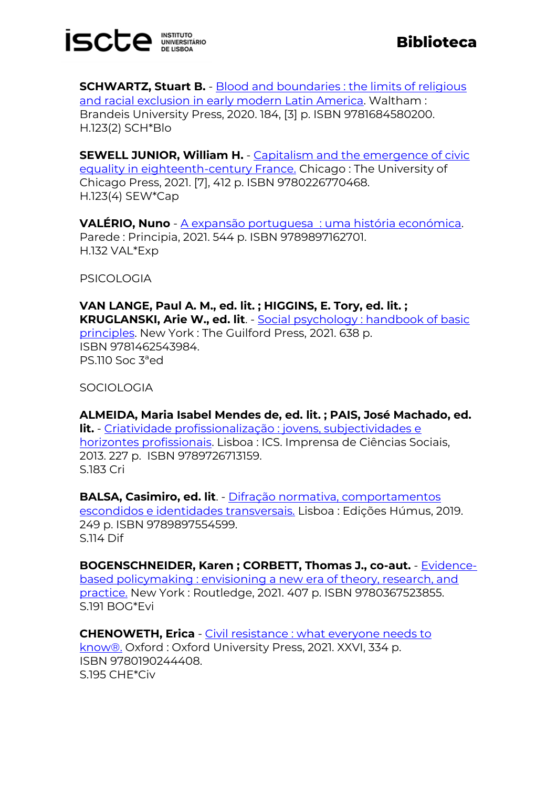

**SCHWARTZ, Stuart B.** - Blood and boundaries : the limits of religious [and racial exclusion in early modern Latin America.](https://catalogo.biblioteca.iscte-iul.pt/cgi-bin/koha/opac-detail.pl?biblionumber=112788) Waltham: Brandeis University Press, 2020. 184, [3] p. ISBN 9781684580200. H.123(2) SCH\*Blo

**SEWELL JUNIOR, William H.** - [Capitalism and the emergence of civic](https://catalogo.biblioteca.iscte-iul.pt/cgi-bin/koha/opac-detail.pl?biblionumber=112790)  [equality in eighteenth-century France.](https://catalogo.biblioteca.iscte-iul.pt/cgi-bin/koha/opac-detail.pl?biblionumber=112790) Chicago : The University of Chicago Press, 2021. [7], 412 p. ISBN 9780226770468. H.123(4) SEW\*Cap

**VALÉRIO, Nuno** - A expansão portuguesa [: uma história económica.](https://catalogo.biblioteca.iscte-iul.pt/cgi-bin/koha/opac-detail.pl?biblionumber=112912) Parede : Principia, 2021. 544 p. ISBN 9789897162701. H.132 VAL\*Exp

**PSICOLOGIA** 

**VAN LANGE, Paul A. M., ed. lit. ; HIGGINS, E. Tory, ed. lit. ; KRUGLANSKI, Arie W., ed. lit**. - [Social psychology : handbook](https://catalogo.biblioteca.iscte-iul.pt/cgi-bin/koha/opac-detail.pl?biblionumber=112111) of basic [principles.](https://catalogo.biblioteca.iscte-iul.pt/cgi-bin/koha/opac-detail.pl?biblionumber=112111) New York : The Guilford Press, 2021. 638 p. ISBN 9781462543984. PS.110 Soc 3ªed

**SOCIOLOGIA** 

**ALMEIDA, Maria Isabel Mendes de, ed. lit. ; PAIS, José Machado, ed. lit.** - [Criatividade profissionalização : jovens, subjectividades e](https://catalogo.biblioteca.iscte-iul.pt/cgi-bin/koha/opac-detail.pl?biblionumber=112386)  [horizontes profissionais.](https://catalogo.biblioteca.iscte-iul.pt/cgi-bin/koha/opac-detail.pl?biblionumber=112386) Lisboa : ICS. Imprensa de Ciências Sociais, 2013. 227 p. ISBN 9789726713159. S.183 Cri

**BALSA, Casimiro, ed. lit**. - [Difração normativa, comportamentos](https://catalogo.biblioteca.iscte-iul.pt/cgi-bin/koha/opac-detail.pl?biblionumber=109478)  [escondidos e identidades transversais.](https://catalogo.biblioteca.iscte-iul.pt/cgi-bin/koha/opac-detail.pl?biblionumber=109478) Lisboa : Edições Húmus, 2019. 249 p. ISBN 9789897554599. S.114 Dif

**BOGENSCHNEIDER, Karen ; CORBETT, Thomas J., co-aut.** - [Evidence](https://catalogo.biblioteca.iscte-iul.pt/cgi-bin/koha/opac-detail.pl?biblionumber=112119)[based policymaking : envisioning a new era of theory, research, and](https://catalogo.biblioteca.iscte-iul.pt/cgi-bin/koha/opac-detail.pl?biblionumber=112119)  [practice.](https://catalogo.biblioteca.iscte-iul.pt/cgi-bin/koha/opac-detail.pl?biblionumber=112119) New York : Routledge, 2021. 407 p. ISBN 9780367523855. S.191 BOG\*Evi

**CHENOWETH, Erica** - [Civil resistance : what everyone needs to](https://catalogo.biblioteca.iscte-iul.pt/cgi-bin/koha/opac-detail.pl?biblionumber=112785)  [know®.](https://catalogo.biblioteca.iscte-iul.pt/cgi-bin/koha/opac-detail.pl?biblionumber=112785) Oxford : Oxford University Press, 2021. XXVI, 334 p. ISBN 9780190244408. S.195 CHE\*Civ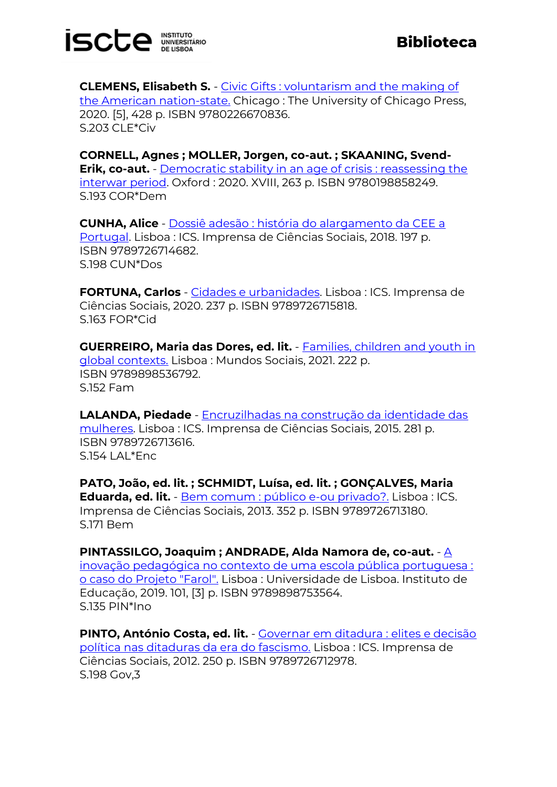

**CLEMENS, Elisabeth S. - Civic Gifts : voluntarism and the making of** [the American nation-state.](https://catalogo.biblioteca.iscte-iul.pt/cgi-bin/koha/opac-detail.pl?biblionumber=112793) Chicago : The University of Chicago Press, 2020. [5], 428 p. ISBN 9780226670836. S.203 CLE\*Civ

**CORNELL, Agnes ; MOLLER, Jorgen, co-aut. ; SKAANING, Svend-Erik, co-aut.** - Democratic stability in an age of crisis : reassessing the [interwar period.](https://catalogo.biblioteca.iscte-iul.pt/cgi-bin/koha/opac-detail.pl?biblionumber=112786) Oxford : 2020. XVIII, 263 p. ISBN 9780198858249. S.193 COR\*Dem

**CUNHA, Alice** - [Dossiê adesão : história do alargamento da CEE a](https://catalogo.biblioteca.iscte-iul.pt/cgi-bin/koha/opac-detail.pl?biblionumber=112381)  [Portugal.](https://catalogo.biblioteca.iscte-iul.pt/cgi-bin/koha/opac-detail.pl?biblionumber=112381) Lisboa : ICS. Imprensa de Ciências Sociais, 2018. 197 p. ISBN 9789726714682. S.198 CUN\*Dos

**FORTUNA, Carlos** - [Cidades e urbanidades.](https://catalogo.biblioteca.iscte-iul.pt/cgi-bin/koha/opac-detail.pl?biblionumber=112382) Lisboa : ICS. Imprensa de Ciências Sociais, 2020. 237 p. ISBN 9789726715818. S.163 FOR\*Cid

**GUERREIRO, Maria das Dores, ed. lit.** - [Families, children and youth in](https://catalogo.biblioteca.iscte-iul.pt/cgi-bin/koha/opac-detail.pl?biblionumber=112615)  [global contexts.](https://catalogo.biblioteca.iscte-iul.pt/cgi-bin/koha/opac-detail.pl?biblionumber=112615) Lisboa : Mundos Sociais, 2021. 222 p. ISBN 9789898536792. S.152 Fam

**LALANDA, Piedade** - [Encruzilhadas na construção da identidade das](https://catalogo.biblioteca.iscte-iul.pt/cgi-bin/koha/opac-detail.pl?biblionumber=112379)  [mulheres.](https://catalogo.biblioteca.iscte-iul.pt/cgi-bin/koha/opac-detail.pl?biblionumber=112379) Lisboa : ICS. Imprensa de Ciências Sociais, 2015. 281 p. ISBN 9789726713616.  $S.154$  | Al  $*Fnc$ 

**PATO, João, ed. lit. ; SCHMIDT, Luísa, ed. lit. ; GONÇALVES, Maria Eduarda, ed. lit.** - [Bem comum : público e-ou privado?.](https://catalogo.biblioteca.iscte-iul.pt/cgi-bin/koha/opac-detail.pl?biblionumber=112383) Lisboa : ICS. Imprensa de Ciências Sociais, 2013. 352 p. ISBN 9789726713180. S.171 Bem

**PINTASSILGO, Joaquim ; ANDRADE, Alda Namora de, co-aut.** - A inovação pedagógica no contexto [de uma escola pública portuguesa :](https://catalogo.biblioteca.iscte-iul.pt/cgi-bin/koha/opac-detail.pl?biblionumber=113168)  [o caso do Projeto "Farol".](https://catalogo.biblioteca.iscte-iul.pt/cgi-bin/koha/opac-detail.pl?biblionumber=113168) Lisboa : Universidade de Lisboa. Instituto de Educação, 2019. 101, [3] p. ISBN 9789898753564. S.135 PIN\*Ino

**PINTO, António Costa, ed. lit.** - [Governar em ditadura : elites e decisão](https://catalogo.biblioteca.iscte-iul.pt/cgi-bin/koha/opac-detail.pl?biblionumber=112334)  [política nas ditaduras da era do fascismo.](https://catalogo.biblioteca.iscte-iul.pt/cgi-bin/koha/opac-detail.pl?biblionumber=112334) Lisboa : ICS. Imprensa de Ciências Sociais, 2012. 250 p. ISBN 9789726712978. S.198 Gov,3